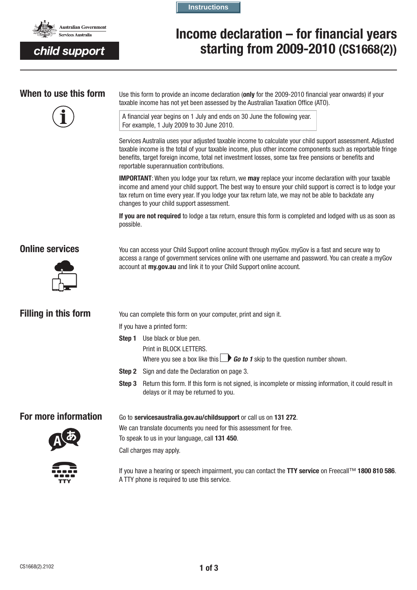

child support

**Instructions**

# **Income declaration – for financial years starting from 2009-2010 (CS1668(2))**



**When to use this form** Use this form to provide an income declaration (**only** for the 2009-2010 financial year onwards) if your taxable income has not yet been assessed by the Australian Taxation Office (ATO).

> A financial year begins on 1 July and ends on 30 June the following year. For example, 1 July 2009 to 30 June 2010.

Services Australia uses your adjusted taxable income to calculate your child support assessment. Adjusted taxable income is the total of your taxable income, plus other income components such as reportable fringe benefits, target foreign income, total net investment losses, some tax free pensions or benefits and reportable superannuation contributions.

**IMPORTANT**: When you lodge your tax return, we **may** replace your income declaration with your taxable income and amend your child support. The best way to ensure your child support is correct is to lodge your tax return on time every year. If you lodge your tax return late, we may not be able to backdate any changes to your child support assessment.

**If you are not required** to lodge a tax return, ensure this form is completed and lodged with us as soon as possible.



**Online services** You can access your Child Support online account through myGov. myGov is a fast and secure way to access a range of government services online with one username and password. You can create a myGov account at **my.gov.au** and link it to your Child Support online account.

|  |  | <b>Filling in this form</b> |
|--|--|-----------------------------|
|  |  |                             |

**Filling in this form** You can complete this form on your computer, print and sign it.

If you have a printed form:

- **Step 1** Use black or blue pen.
	- Print in BLOCK LETTERS.

Where you see a box like this  $\Box$  **Go to 1** skip to the question number shown.

**Step 2** Sign and date the Declaration on page 3.

To speak to us in your language, call **131 450**.

**Step 3** Return this form. If this form is not signed, is incomplete or missing information, it could result in delays or it may be returned to you.

# **For more information** Go to servicesaustralia.gov.au/childsupport or call us on 131 272.

We can translate documents you need for this assessment for free.



Call charges may apply.



If you have a hearing or speech impairment, you can contact the **TTY service** on Freecall™ **1800 810 586**. A TTY phone is required to use this service.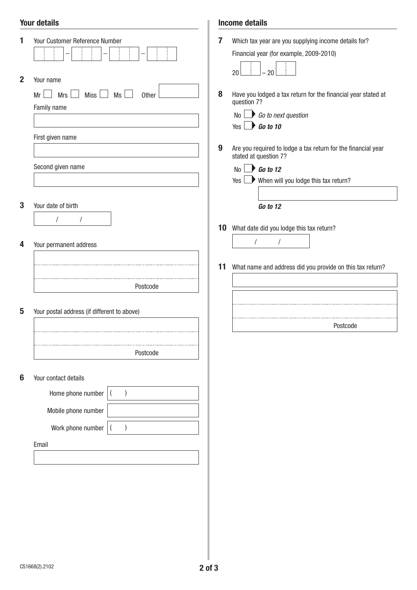## Your details

|                 | <b>Your details</b>                                                                                                              |        | <b>Income details</b>                                                                                                                                                                                                                                                                                          |
|-----------------|----------------------------------------------------------------------------------------------------------------------------------|--------|----------------------------------------------------------------------------------------------------------------------------------------------------------------------------------------------------------------------------------------------------------------------------------------------------------------|
| 1               | Your Customer Reference Number                                                                                                   | 7      | Which tax year are you supplying income details for?<br>Financial year (for example, 2009-2010)<br>$-20$<br>20                                                                                                                                                                                                 |
| $\mathbf 2$     | Your name<br>Miss <sup>1</sup><br><b>Mrs</b><br>Ms<br>$Mr \Box$<br>Other<br>Family name<br>First given name<br>Second given name | 8<br>9 | Have you lodged a tax return for the financial year stated at<br>question 7?<br>$No \rightarrow Go$ to next question<br>Yes $\Box$ Go to 10<br>Are you required to lodge a tax return for the financial year<br>stated at question 7?<br>$\bigcirc$ Go to 12<br>No<br>Yes When will you lodge this tax return? |
|                 |                                                                                                                                  |        |                                                                                                                                                                                                                                                                                                                |
| 3               | Your date of birth<br>/<br>$\sqrt{2}$                                                                                            |        | Go to 12<br>10 What date did you lodge this tax return?                                                                                                                                                                                                                                                        |
| 4               | Your permanent address                                                                                                           |        | $\prime$                                                                                                                                                                                                                                                                                                       |
|                 |                                                                                                                                  | 11     | What name and address did you provide on this tax return?                                                                                                                                                                                                                                                      |
|                 | Postcode                                                                                                                         |        |                                                                                                                                                                                                                                                                                                                |
| 5               | Your postal address (if different to above)                                                                                      |        |                                                                                                                                                                                                                                                                                                                |
|                 |                                                                                                                                  |        | Postcode                                                                                                                                                                                                                                                                                                       |
|                 | Postcode                                                                                                                         |        |                                                                                                                                                                                                                                                                                                                |
| $6\phantom{1}6$ | Your contact details                                                                                                             |        |                                                                                                                                                                                                                                                                                                                |
|                 | Home phone number                                                                                                                |        |                                                                                                                                                                                                                                                                                                                |
|                 | Mobile phone number                                                                                                              |        |                                                                                                                                                                                                                                                                                                                |
|                 | Work phone number                                                                                                                |        |                                                                                                                                                                                                                                                                                                                |
|                 | Email                                                                                                                            |        |                                                                                                                                                                                                                                                                                                                |
|                 |                                                                                                                                  |        |                                                                                                                                                                                                                                                                                                                |